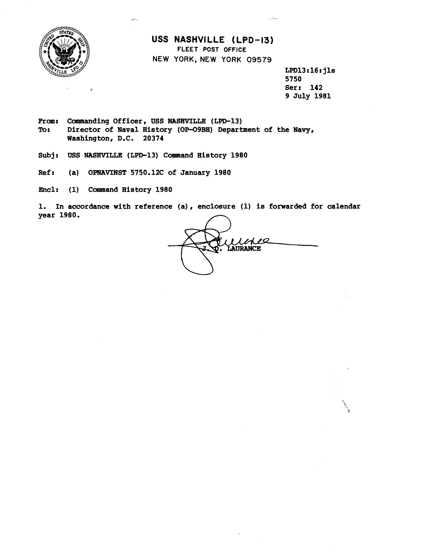

b,

**USS NASHVILLE (LPD-13) FLEET POST OFFICE NEW** YORK, **NEW** YORK 09579

> LPD13tl6:jls 5750 Ser: 142 9 July 1981

- From: Commanding Officer, USS NASHVILLE (LPD-13) **To:** Director of Naval History (OP-09BH) Department of the Navy, Washington, D.C. 20374
- Subj: USS **NASHVILLE** (LPD-13) Command History 1980
- Ref: (a) OPNAVINST 5750.12C of January 1980
- Encl: (1) Command History 1980

1. In accordance with reference (a), enclosure (1) is forwarded for calendar Encl: (1) Command History 1980<br>1. In accordance with reference (a), enclosure (1)<br>year 1980.

0 Q LAURANCE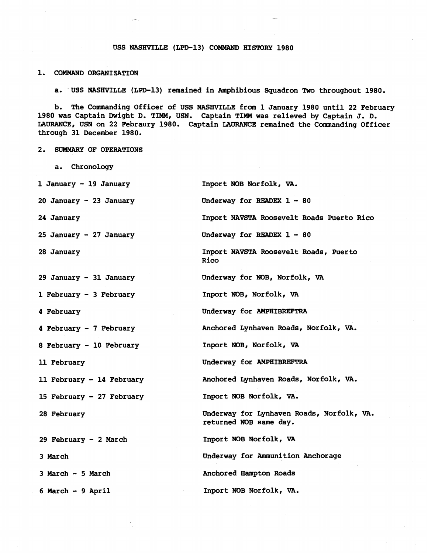## USS NASHVILLE (LPD-13) COMMAND HISTORY 1980

## 1. COMMAND ORGANIZATION

a. USS NASHVILLE (LPD-13) remained in Amphibious Squadron Two throughout 1980.

b. The Commanding Officer of USS NASHVILLE from 1 January 1980 until 22 February 1980 was Captain Dwight D. TIMM, USN. Captain TIMM was relieved by Captain J. D. LAURANCE, USN on 22 Febraury 1980. Captain **LAURANCE** remained the Commanding Officer through 31 December 1980.

## 2. SUMMARY OF OPERATIONS

a. Chronology

| 1 January - 19 January    | Inport NOB Norfolk, VA.                                             |
|---------------------------|---------------------------------------------------------------------|
| 20 January - 23 January   | Underway for READEX $1 - 80$                                        |
| 24 January                | Inport NAVSTA Roosevelt Roads Puerto Rico                           |
| 25 January - 27 January   | Underway for READEX $1 - 80$                                        |
| 28 January                | Inport NAVSTA Roosevelt Roads, Puerto<br>Rico                       |
| 29 January - 31 January   | Underway for NOB, Norfolk, VA                                       |
| 1 February - 3 February   | Inport NOB, Norfolk, VA                                             |
| 4 February                | Underway for AMPHIBREFTRA                                           |
| 4 February - 7 February   | Anchored Lynhaven Roads, Norfolk, VA.                               |
| 8 February - 10 February  | Inport NOB, Norfolk, VA                                             |
| 11 February               | Underway for AMPHIBREFTRA                                           |
| 11 February - 14 February | Anchored Lynhaven Roads, Norfolk, VA.                               |
| 15 February - 27 February | Inport NOB Norfolk, VA.                                             |
| 28 February               | Underway for Lynhaven Roads, Norfolk, VA.<br>returned NOB same day. |
| 29 February - 2 March     | Inport NOB Norfolk, VA                                              |
| 3 March                   | Underway for Ammunition Anchorage                                   |
| $3$ March - $5$ March     | Anchored Hampton Roads                                              |
| $6$ March - $9$ April     | Inport NOB Norfolk, VA.                                             |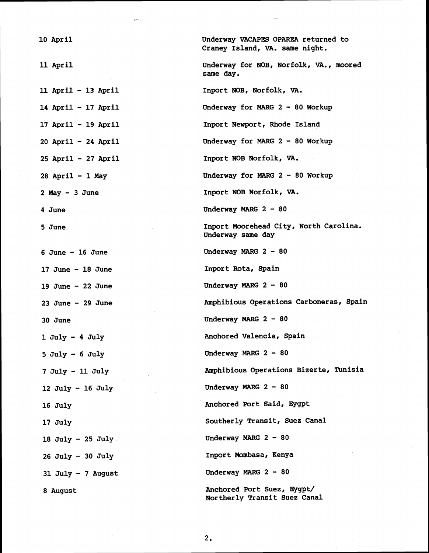**10 April Underway VACAPES OPAREA returned to Craney Island, VA. same night. 11 April 11 April** - **13 April 14 April** - **17 April 17 April** - **19 April 20 April** - **24 April 25 April** - **27 April 28 April** - **1 May 2 May** - **3 June 4 June 5 June 6 June** - **16 June 17 June** - **18 June 19 June** - **22 June 23 June** - **29 June 30 June 1 July** - **4 July 5 July** - **6 July 7 July** - **11 July 12 July** - **16 July 16 July 17 July 18 July** - **25 July 26 July** - **30 July 31 July** - **7 August 8 August Underway for NOB, Norfolk, VA., moored same day. Inport NOB, Norfolk, VA. Underway for MARG 2-** - **80 Workup Inport Newport, Rhode Island Underway for MARG <sup>2</sup>**- **80 Workup Inport NOB Norfolk, VA. Underway for MARG <sup>2</sup>**- **80 Workup Inport NOB Norfolk, VA. Underway MARG <sup>2</sup>**- **<sup>80</sup> Inport Moorehead City, North Carolina. Underway same day Underway MARG <sup>2</sup>**- **<sup>80</sup> Inport Rota, Spain**  Underway MARG  $2 - 80$ **Amphibious Operations Carboneras, Spain Underway MARG <sup>2</sup>**- **<sup>80</sup> Anchored Valencia, Spain Underway MARG <sup>2</sup>**- **<sup>80</sup> Amphibious Operations Bizerte, Tunisia Underway MARG <sup>2</sup>**- **<sup>80</sup> Anchored Port Said, Eygpt Southerly Transit, Suez Canal Underway MARG <sup>2</sup>**- **<sup>80</sup>** Inport Mombasa, Kenya **Underway MARG <sup>2</sup>**- **<sup>80</sup>** Anchored Port Suez, Eygpt/ **Northerly Transit Suez Canal** 

 $2.$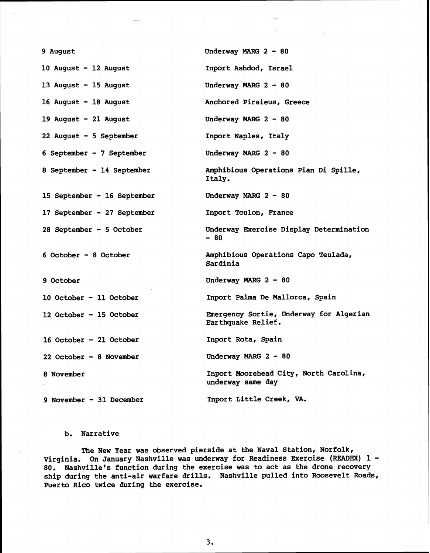| 9 August                    | Underway MARG $2 - 80$                                        |
|-----------------------------|---------------------------------------------------------------|
| 10 August $-$ 12 August     | Inport Ashdod, Israel                                         |
| 13 August - 15 August       | Underway MARG $2 - 80$                                        |
| 16 August $-$ 18 August     | Anchored Piraieus, Greece                                     |
| 19 August - 21 August       | Underway MARG $2 - 80$                                        |
| 22 August - 5 September     | Inport Naples, Italy                                          |
| 6 September - 7 September   | Underway MARG $2 - 80$                                        |
| 8 September - 14 September  | Amphibious Operations Pian Di Spille,<br>Italy.               |
| 15 September - 16 September | Underway MARG $2 - 80$                                        |
| 17 September - 27 September | Inport Toulon, France                                         |
| 28 September - 5 October    | Underway Exercise Display Determination<br>$-80$              |
| $6$ October - 8 October     | Amphibious Operations Capo Teulada,<br>Sardinia               |
| 9 October                   | Underway MARG $2 - 80$                                        |
| 10 October - 11 October     | Inport Palma De Mallorca, Spain                               |
| 12 October - 15 October     | Emergency Sortie, Underway for Algerian<br>Earthquake Relief. |
| 16 October - 21 October     | Inport Rota, Spain                                            |
| 22 October - 8 November     | Underway MARG $2 - 80$                                        |
| 8 November                  | Inport Moorehead City, North Carolina,<br>underway same day   |
| 9 November - 31 December    | Inport Little Creek, VA.                                      |

## **b. Narrative**

**The New Year was observed pierside at the Naval Station, Norfolk, Virginia. On January Nashville was underway for Readiness Exercise (READEX) 1** - **80. Nashville's function during the exercise was to act as the drone recovery ship during the anti-air warfare drills. Nashville pulled into Roosevelt Roads, Puerto Rico twice during the exercise.**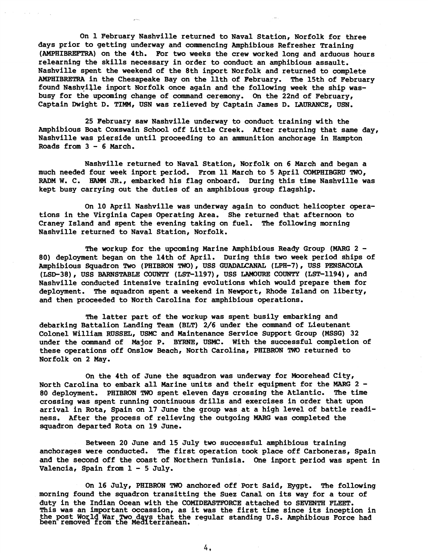**On 1 February Nashville returned to Naval Station, Norfolk for three days prior to getting underway and conmencing Amphibious Refresher Training (AMPHIBREFTRA) on the 4th. For two weeks the crew worked long and arduous hours relearning the skills necessary in order to conduct an amphibious assault. Nashville spent the weekend of the 8th inport Norfolk and returned to complete AMPHIBRETRA in the Chesapeake Bay on the 11th of February. The 15th of February found NashviJle inport Norfolk once again and the following week the ship wasbusy for the upcoming change of command ceremony. On the 22nd of February, Captain Dwight D. TIMM, USN was relieved by Captain James D. LAURANCE, USN.** 

**25 February saw Nashville underway to conduct training with the Amphibious Boat Coxswain School off Little Creek. After returning that same day, Nashville was pierside until proceeding to an ammunition anchorage in Hampton Roads from 3** - **6 March.** 

**Nashville returned to Naval Station, Norfolk on 6 March and began a much needed four week inport period. From 11 March to 5 April COMPHIBGRU TWO, RADM W. C. HAMM JR., embarked his flag onboard. During this time Nashville was kept busy carrying out the duties of an amphibious group flagship.** 

**On 10 April Nashville was underway again to conduct helicopter operations in the Virginia Capes Operating Area. She returned that afternoon to Craney Island and spent the evening taking on fuel. The following morning Nashville returned to Naval Station, Norfolk.** 

**The workup for the upcoming Marine Amphibious Ready Group (MARG 2** - **80) deployment began on the 14th of April. During this two week period ships of**  Amphibious Squadron Two (PHIBRON TWO), USS GUADALCANAL (LPH-7), USS PENSACOLA **(LSD-38), USS BARNSTABLE COUNTY (LST-1197), USS LAMOURE COUNTY (LST-1194), and Nashville conducted intensive training evolutions which would prepare them for deployment. The squadron spent a weekend in Newport, Rhode Island on liberty, and then proceeded to North Carolina for amphibious operations.** 

**The latter part of the workup was spent busily embarking and debarking Battalion Landing Team (BLT) 2/6 under the command of Lieutenant Colonel William RUSSEL, USMC and Maintenance Service Support Group (MSSG) 32 under the command of Major P. BYRNE, USMC. With the successful completion of these operations off Onslow Beach, North Carolina, PHIBRON** TWO **returned to Norfolk on 2 May.** 

**On the 4th of June the squadron was underway for Moorehead City, North Carolina to embark all Marine units and their equipment for the MARG 2** - **80 deployment. PHIBRON** TWO **spent eleven days crossing the Atlantic. The time crossing was spent running continuous drills and exercises in order that upon arrival in Rota, Spain on 17 June the group was at a high level of battle readiness. After the process of relieving the outgoing MARG was completed the squadron departed Rota on 19 June.** 

**Between 20 June and 15 July two successful amphibious training anchorages were conducted. The first operation took place off Carboneras, Spain and the second off the coast of Northern Tunisia. One inport period was spent in Valencia, Spain from 1** - **5 July.** 

**On 16 July, PHIBRON** TWO **andhored off Port Said, Eygpt. The following morning found the squadron transitting the Suez Canal on its way for a tour of duty in the Indian Ocean with the COMIDEASTFORCE attached to SEVENTH FLEET. This was an important occassion, as it was the first time since its inception in**  the post World War Two days that the regular standing U.S. Amphibious Force had<br>been removed from the Mediterranean.

4,